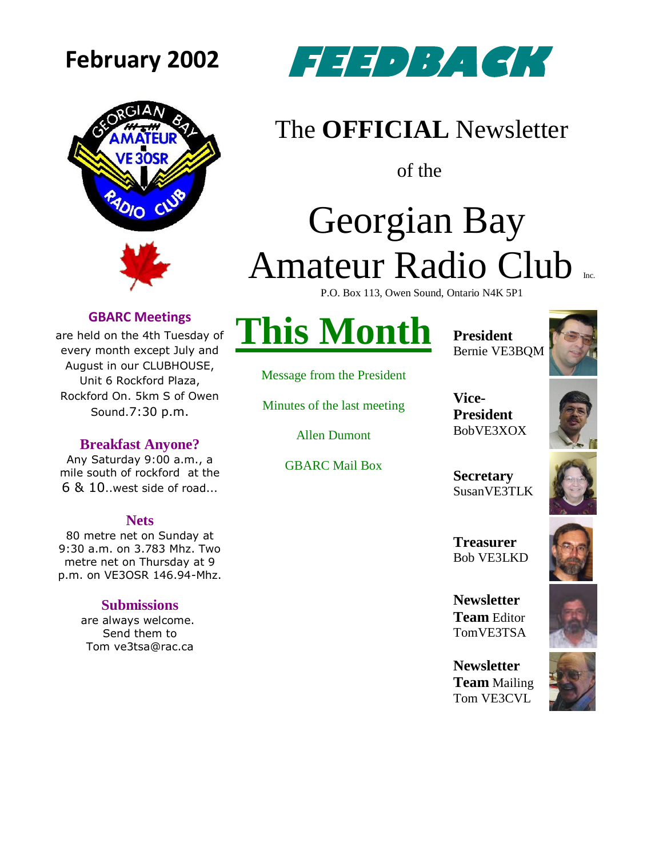



### **February 2002 FEEDBACK**

### The **OFFICIAL** Newsletter

of the

## Georgian Bay Amateur Radio Club

P.O. Box 113, Owen Sound, Ontario N4K 5P1

#### **GBARC Meetings**

are held on the 4th Tuesday of every month except July and August in our CLUBHOUSE, Unit 6 Rockford Plaza, Rockford On. 5km S of Owen Sound.7:30 p.m.

#### **Breakfast Anyone?**

Any Saturday 9:00 a.m., a mile south of rockford at the 6 & 10..west side of road...

#### **Nets**

80 metre net on Sunday at 9:30 a.m. on 3.783 Mhz. Two metre net on Thursday at 9 p.m. on VE3OSR 146.94-Mhz.

#### **Submissions**

are always welcome. Send them to Tom ve3tsa@rac.ca

### **This Month**

Message from the President

Minutes of the last meeting

Allen Dumont

GBARC Mail Box

**President** Bernie VE3BQM

**Vice-**

**President** BobVE3XOX



**Secretary** SusanVE3TLK

**Treasurer** Bob VE3LKD

**Newsletter Team** Editor TomVE3TSA

**Newsletter Team** Mailing Tom VE3CVL



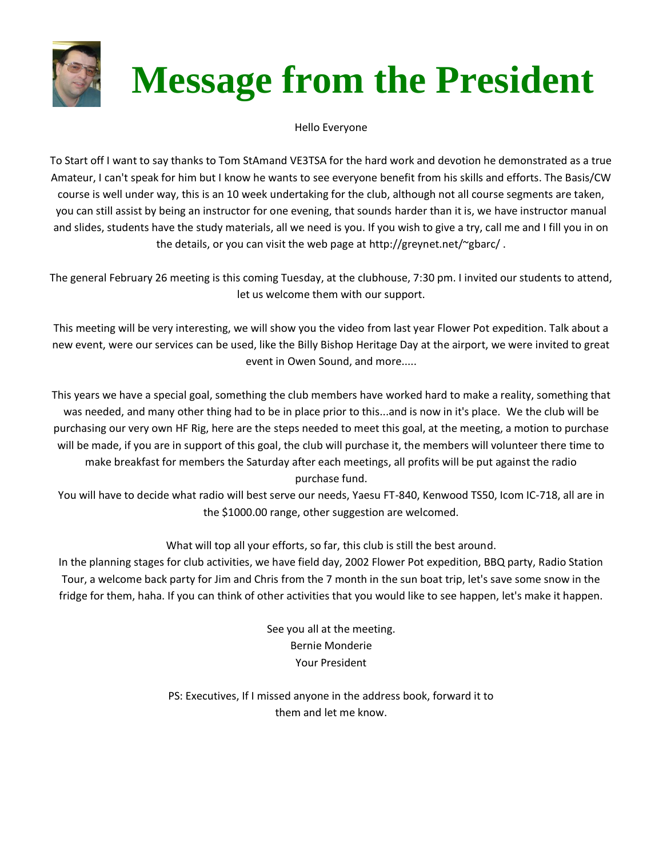

# **Message from the President**

Hello Everyone

To Start off I want to say thanks to Tom StAmand VE3TSA for the hard work and devotion he demonstrated as a true Amateur, I can't speak for him but I know he wants to see everyone benefit from his skills and efforts. The Basis/CW course is well under way, this is an 10 week undertaking for the club, although not all course segments are taken, you can still assist by being an instructor for one evening, that sounds harder than it is, we have instructor manual and slides, students have the study materials, all we need is you. If you wish to give a try, call me and I fill you in on the details, or you can visit the web page at http://greynet.net/~gbarc/ .

The general February 26 meeting is this coming Tuesday, at the clubhouse, 7:30 pm. I invited our students to attend, let us welcome them with our support.

This meeting will be very interesting, we will show you the video from last year Flower Pot expedition. Talk about a new event, were our services can be used, like the Billy Bishop Heritage Day at the airport, we were invited to great event in Owen Sound, and more.....

This years we have a special goal, something the club members have worked hard to make a reality, something that was needed, and many other thing had to be in place prior to this...and is now in it's place. We the club will be purchasing our very own HF Rig, here are the steps needed to meet this goal, at the meeting, a motion to purchase will be made, if you are in support of this goal, the club will purchase it, the members will volunteer there time to make breakfast for members the Saturday after each meetings, all profits will be put against the radio purchase fund.

You will have to decide what radio will best serve our needs, Yaesu FT-840, Kenwood TS50, Icom IC-718, all are in the \$1000.00 range, other suggestion are welcomed.

#### What will top all your efforts, so far, this club is still the best around.

In the planning stages for club activities, we have field day, 2002 Flower Pot expedition, BBQ party, Radio Station Tour, a welcome back party for Jim and Chris from the 7 month in the sun boat trip, let's save some snow in the fridge for them, haha. If you can think of other activities that you would like to see happen, let's make it happen.

> See you all at the meeting. Bernie Monderie Your President

PS: Executives, If I missed anyone in the address book, forward it to them and let me know.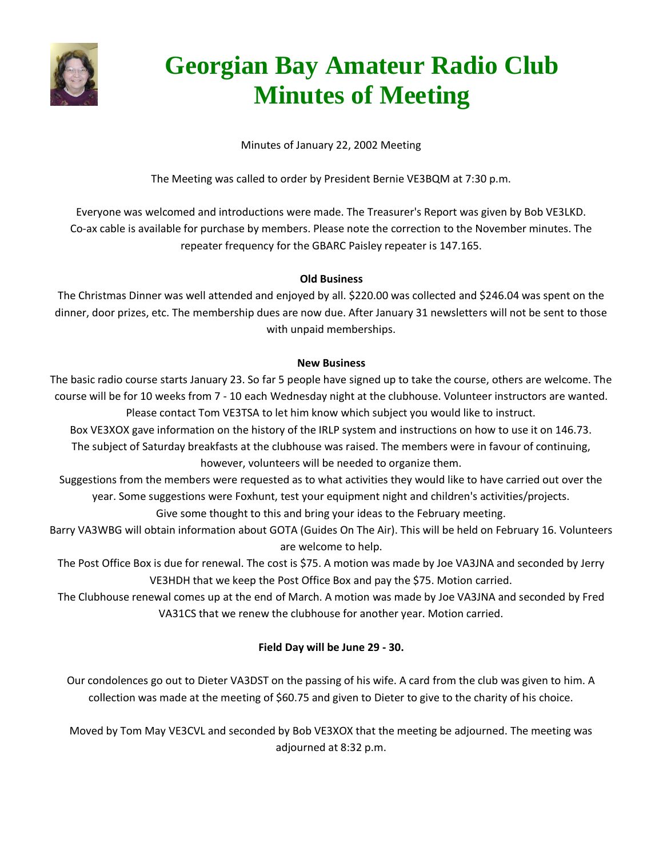

### **Georgian Bay Amateur Radio Club Minutes of Meeting**

Minutes of January 22, 2002 Meeting

The Meeting was called to order by President Bernie VE3BQM at 7:30 p.m.

Everyone was welcomed and introductions were made. The Treasurer's Report was given by Bob VE3LKD. Co-ax cable is available for purchase by members. Please note the correction to the November minutes. The repeater frequency for the GBARC Paisley repeater is 147.165.

#### **Old Business**

The Christmas Dinner was well attended and enjoyed by all. \$220.00 was collected and \$246.04 was spent on the dinner, door prizes, etc. The membership dues are now due. After January 31 newsletters will not be sent to those with unpaid memberships.

#### **New Business**

The basic radio course starts January 23. So far 5 people have signed up to take the course, others are welcome. The course will be for 10 weeks from 7 - 10 each Wednesday night at the clubhouse. Volunteer instructors are wanted. Please contact Tom VE3TSA to let him know which subject you would like to instruct.

Box VE3XOX gave information on the history of the IRLP system and instructions on how to use it on 146.73. The subject of Saturday breakfasts at the clubhouse was raised. The members were in favour of continuing, however, volunteers will be needed to organize them.

Suggestions from the members were requested as to what activities they would like to have carried out over the year. Some suggestions were Foxhunt, test your equipment night and children's activities/projects.

Give some thought to this and bring your ideas to the February meeting.

Barry VA3WBG will obtain information about GOTA (Guides On The Air). This will be held on February 16. Volunteers are welcome to help.

The Post Office Box is due for renewal. The cost is \$75. A motion was made by Joe VA3JNA and seconded by Jerry VE3HDH that we keep the Post Office Box and pay the \$75. Motion carried.

The Clubhouse renewal comes up at the end of March. A motion was made by Joe VA3JNA and seconded by Fred VA31CS that we renew the clubhouse for another year. Motion carried.

#### **Field Day will be June 29 - 30.**

Our condolences go out to Dieter VA3DST on the passing of his wife. A card from the club was given to him. A collection was made at the meeting of \$60.75 and given to Dieter to give to the charity of his choice.

Moved by Tom May VE3CVL and seconded by Bob VE3XOX that the meeting be adjourned. The meeting was adjourned at 8:32 p.m.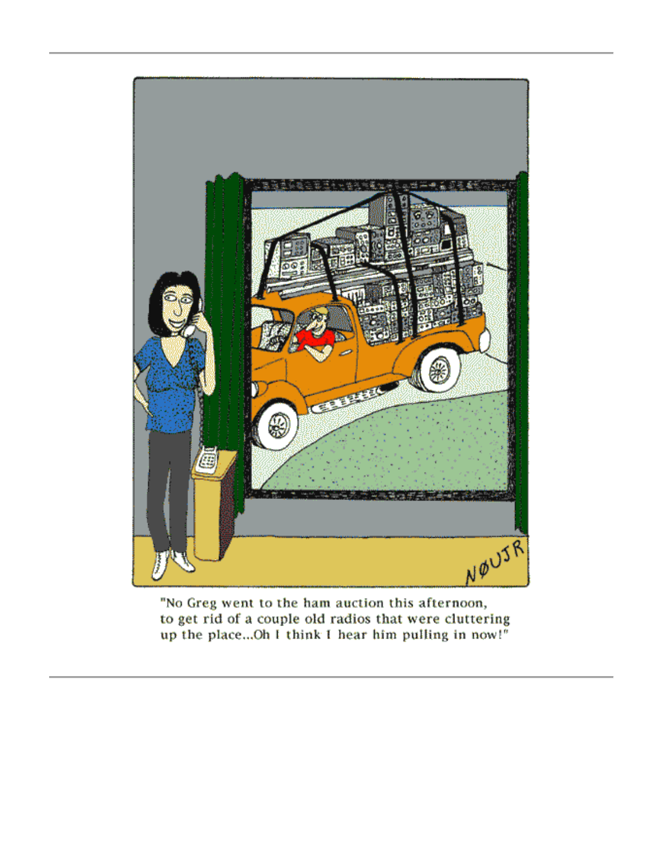

"No Greg went to the ham auction this afternoon, to get rid of a couple old radios that were cluttering up the place...Oh I think I hear him pulling in now!"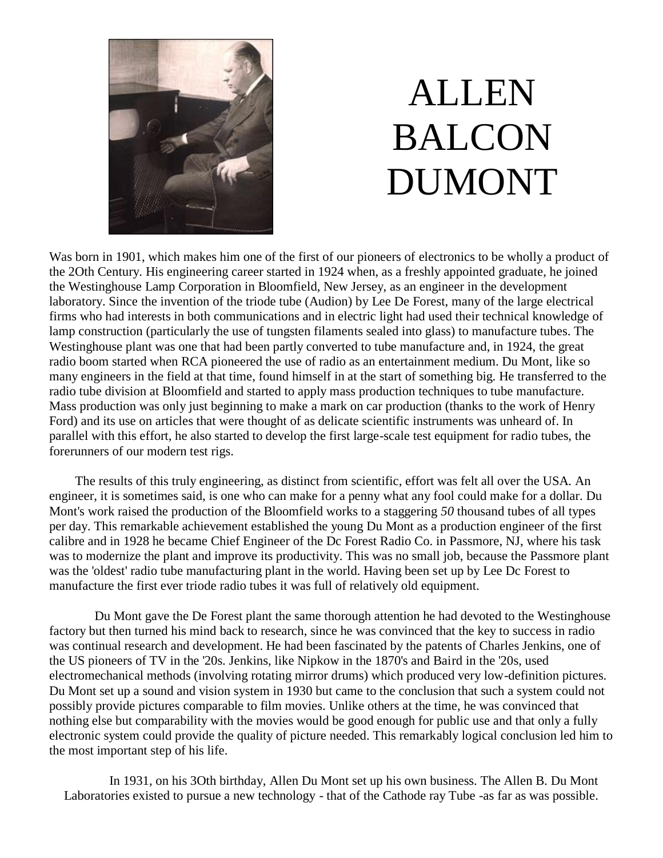

## ALLEN BALCON DUMONT

Was born in 1901, which makes him one of the first of our pioneers of electronics to be wholly a product of the 2Oth Century. His engineering career started in 1924 when, as a freshly appointed graduate, he joined the Westinghouse Lamp Corporation in Bloomfield, New Jersey, as an engineer in the development laboratory. Since the invention of the triode tube (Audion) by Lee De Forest, many of the large electrical firms who had interests in both communications and in electric light had used their technical knowledge of lamp construction (particularly the use of tungsten filaments sealed into glass) to manufacture tubes. The Westinghouse plant was one that had been partly converted to tube manufacture and, in 1924, the great radio boom started when RCA pioneered the use of radio as an entertainment medium. Du Mont, like so many engineers in the field at that time, found himself in at the start of something big. He transferred to the radio tube division at Bloomfield and started to apply mass production techniques to tube manufacture. Mass production was only just beginning to make a mark on car production (thanks to the work of Henry Ford) and its use on articles that were thought of as delicate scientific instruments was unheard of. In parallel with this effort, he also started to develop the first large-scale test equipment for radio tubes, the forerunners of our modern test rigs.

 The results of this truly engineering, as distinct from scientific, effort was felt all over the USA. An engineer, it is sometimes said, is one who can make for a penny what any fool could make for a dollar. Du Mont's work raised the production of the Bloomfield works to a staggering *50* thousand tubes of all types per day. This remarkable achievement established the young Du Mont as a production engineer of the first calibre and in 1928 he became Chief Engineer of the Dc Forest Radio Co. in Passmore, NJ, where his task was to modernize the plant and improve its productivity. This was no small job, because the Passmore plant was the 'oldest' radio tube manufacturing plant in the world. Having been set up by Lee Dc Forest to manufacture the first ever triode radio tubes it was full of relatively old equipment.

 Du Mont gave the De Forest plant the same thorough attention he had devoted to the Westinghouse factory but then turned his mind back to research, since he was convinced that the key to success in radio was continual research and development. He had been fascinated by the patents of Charles Jenkins, one of the US pioneers of TV in the '20s. Jenkins, like Nipkow in the 1870's and Baird in the '20s, used electromechanical methods (involving rotating mirror drums) which produced very low-definition pictures. Du Mont set up a sound and vision system in 1930 but came to the conclusion that such a system could not possibly provide pictures comparable to film movies. Unlike others at the time, he was convinced that nothing else but comparability with the movies would be good enough for public use and that only a fully electronic system could provide the quality of picture needed. This remarkably logical conclusion led him to the most important step of his life.

 In 1931, on his 3Oth birthday, Allen Du Mont set up his own business. The Allen B. Du Mont Laboratories existed to pursue a new technology - that of the Cathode ray Tube -as far as was possible.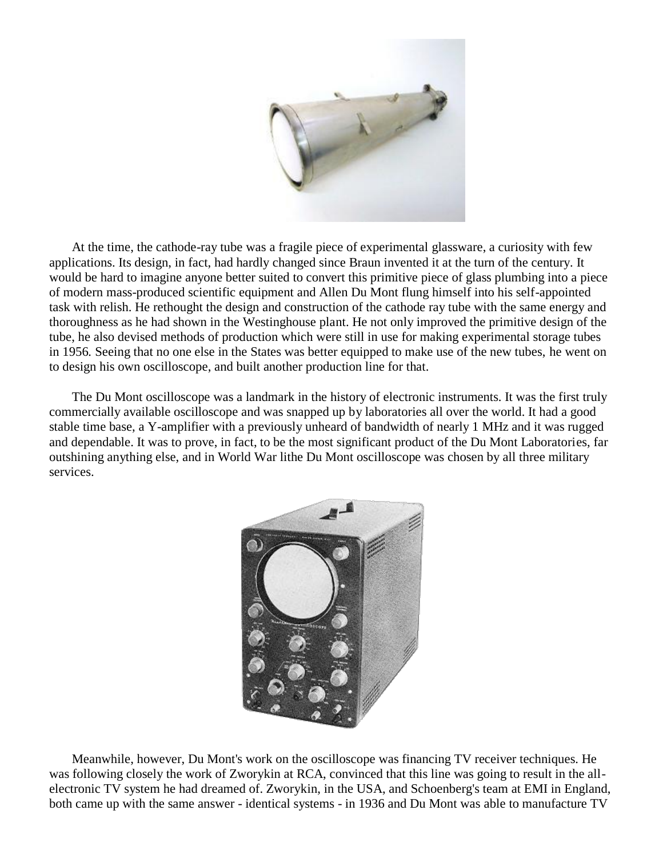

 At the time, the cathode-ray tube was a fragile piece of experimental glassware, a curiosity with few applications. Its design, in fact, had hardly changed since Braun invented it at the turn of the century. It would be hard to imagine anyone better suited to convert this primitive piece of glass plumbing into a piece of modern mass-produced scientific equipment and Allen Du Mont flung himself into his self-appointed task with relish. He rethought the design and construction of the cathode ray tube with the same energy and thoroughness as he had shown in the Westinghouse plant. He not only improved the primitive design of the tube, he also devised methods of production which were still in use for making experimental storage tubes in 1956*.* Seeing that no one else in the States was better equipped to make use of the new tubes, he went on to design his own oscilloscope, and built another production line for that.

 The Du Mont oscilloscope was a landmark in the history of electronic instruments. It was the first truly commercially available oscilloscope and was snapped up by laboratories all over the world. It had a good stable time base, a Y-amplifier with a previously unheard of bandwidth of nearly 1 MHz and it was rugged and dependable. It was to prove, in fact, to be the most significant product of the Du Mont Laboratories, far outshining anything else, and in World War lithe Du Mont oscilloscope was chosen by all three military services.



 Meanwhile, however, Du Mont's work on the oscilloscope was financing TV receiver techniques. He was following closely the work of Zworykin at RCA, convinced that this line was going to result in the allelectronic TV system he had dreamed of. Zworykin, in the USA, and Schoenberg's team at EMI in England, both came up with the same answer - identical systems - in 1936 and Du Mont was able to manufacture TV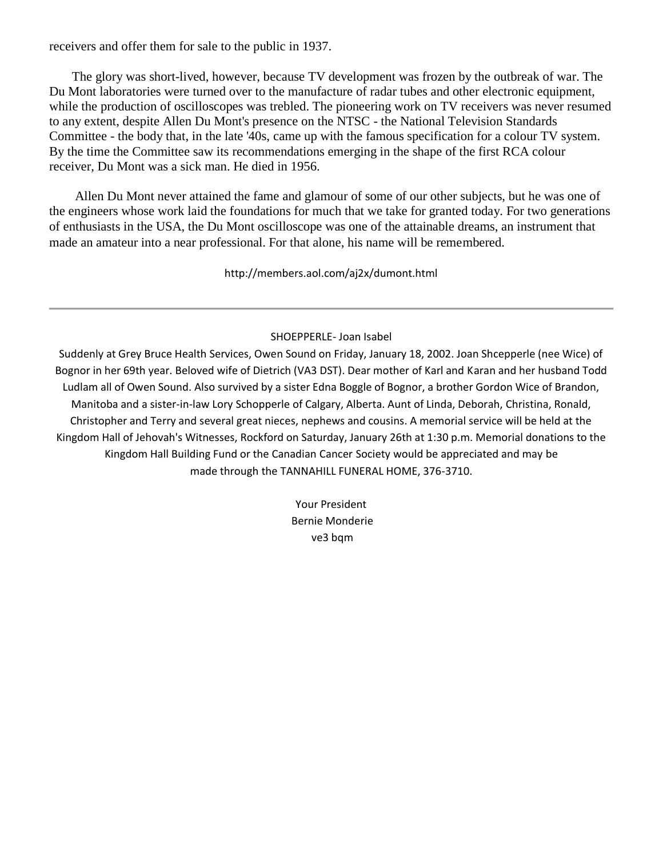receivers and offer them for sale to the public in 1937.

 The glory was short-lived, however, because TV development was frozen by the outbreak of war. The Du Mont laboratories were turned over to the manufacture of radar tubes and other electronic equipment, while the production of oscilloscopes was trebled. The pioneering work on TV receivers was never resumed to any extent, despite Allen Du Mont's presence on the NTSC - the National Television Standards Committee - the body that, in the late '40s, came up with the famous specification for a colour TV system. By the time the Committee saw its recommendations emerging in the shape of the first RCA colour receiver, Du Mont was a sick man. He died in 1956.

 Allen Du Mont never attained the fame and glamour of some of our other subjects, but he was one of the engineers whose work laid the foundations for much that we take for granted today. For two generations of enthusiasts in the USA, the Du Mont oscilloscope was one of the attainable dreams, an instrument that made an amateur into a near professional. For that alone, his name will be remembered.

http://members.aol.com/aj2x/dumont.html

SHOEPPERLE- Joan Isabel

Suddenly at Grey Bruce Health Services, Owen Sound on Friday, January 18, 2002. Joan Shcepperle (nee Wice) of Bognor in her 69th year. Beloved wife of Dietrich (VA3 DST). Dear mother of Karl and Karan and her husband Todd Ludlam all of Owen Sound. Also survived by a sister Edna Boggle of Bognor, a brother Gordon Wice of Brandon, Manitoba and a sister-in-law Lory Schopperle of Calgary, Alberta. Aunt of Linda, Deborah, Christina, Ronald, Christopher and Terry and several great nieces, nephews and cousins. A memorial service will be held at the Kingdom Hall of Jehovah's Witnesses, Rockford on Saturday, January 26th at 1:30 p.m. Memorial donations to the Kingdom Hall Building Fund or the Canadian Cancer Society would be appreciated and may be made through the TANNAHILL FUNERAL HOME, 376-3710.

> Your President Bernie Monderie ve3 bqm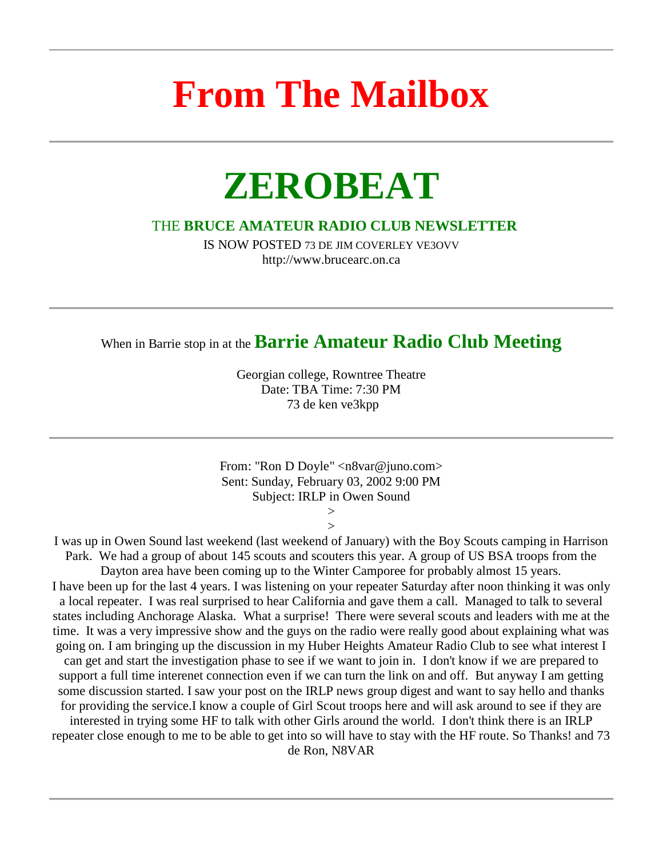### **From The Mailbox**

### **ZEROBEAT**

#### THE **BRUCE AMATEUR RADIO CLUB NEWSLETTER**

IS NOW POSTED 73 DE JIM COVERLEY VE3OVV http://www.brucearc.on.ca

### When in Barrie stop in at the **Barrie Amateur Radio Club Meeting**

Georgian college, Rowntree Theatre Date: TBA Time: 7:30 PM 73 de ken ve3kpp

From: "Ron D Doyle" <n8var@juno.com> Sent: Sunday, February 03, 2002 9:00 PM Subject: IRLP in Owen Sound

> $>$  $\geq$

I was up in Owen Sound last weekend (last weekend of January) with the Boy Scouts camping in Harrison Park. We had a group of about 145 scouts and scouters this year. A group of US BSA troops from the Dayton area have been coming up to the Winter Camporee for probably almost 15 years. I have been up for the last 4 years. I was listening on your repeater Saturday after noon thinking it was only a local repeater. I was real surprised to hear California and gave them a call. Managed to talk to several states including Anchorage Alaska. What a surprise! There were several scouts and leaders with me at the time. It was a very impressive show and the guys on the radio were really good about explaining what was going on. I am bringing up the discussion in my Huber Heights Amateur Radio Club to see what interest I can get and start the investigation phase to see if we want to join in. I don't know if we are prepared to support a full time interenet connection even if we can turn the link on and off. But anyway I am getting some discussion started. I saw your post on the IRLP news group digest and want to say hello and thanks for providing the service.I know a couple of Girl Scout troops here and will ask around to see if they are interested in trying some HF to talk with other Girls around the world. I don't think there is an IRLP repeater close enough to me to be able to get into so will have to stay with the HF route. So Thanks! and 73 de Ron, N8VAR